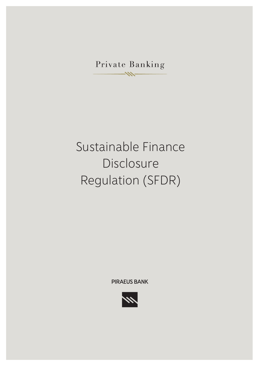Private Banking  $\rightarrow$ 

## Sustainable Finance Disclosure Regulation (SFDR)

**PIRAEUS BANK**